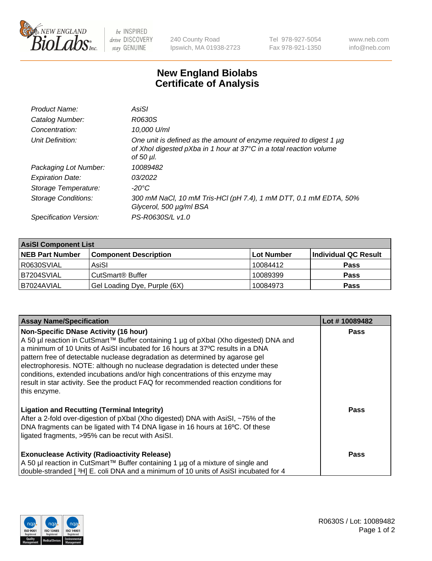

 $be$  INSPIRED drive DISCOVERY stay GENUINE

240 County Road Ipswich, MA 01938-2723 Tel 978-927-5054 Fax 978-921-1350 www.neb.com info@neb.com

## **New England Biolabs Certificate of Analysis**

| Product Name:              | AsiSI                                                                                                                                                       |
|----------------------------|-------------------------------------------------------------------------------------------------------------------------------------------------------------|
| Catalog Number:            | R0630S                                                                                                                                                      |
| Concentration:             | 10,000 U/ml                                                                                                                                                 |
| Unit Definition:           | One unit is defined as the amount of enzyme required to digest 1 µg<br>of Xhol digested pXba in 1 hour at 37°C in a total reaction volume<br>of 50 $\mu$ l. |
| Packaging Lot Number:      | 10089482                                                                                                                                                    |
| <b>Expiration Date:</b>    | 03/2022                                                                                                                                                     |
| Storage Temperature:       | $-20^{\circ}$ C                                                                                                                                             |
| <b>Storage Conditions:</b> | 300 mM NaCl, 10 mM Tris-HCl (pH 7.4), 1 mM DTT, 0.1 mM EDTA, 50%<br>Glycerol, 500 µg/ml BSA                                                                 |
| Specification Version:     | PS-R0630S/L v1.0                                                                                                                                            |

| <b>AsiSI Component List</b> |                              |             |                      |  |  |
|-----------------------------|------------------------------|-------------|----------------------|--|--|
| <b>NEB Part Number</b>      | <b>Component Description</b> | ∣Lot Number | Individual QC Result |  |  |
| R0630SVIAL                  | AsiSI                        | 10084412    | <b>Pass</b>          |  |  |
| B7204SVIAL                  | CutSmart® Buffer             | 10089399    | <b>Pass</b>          |  |  |
| B7024AVIAL                  | Gel Loading Dye, Purple (6X) | 10084973    | <b>Pass</b>          |  |  |

| <b>Assay Name/Specification</b>                                                                                                                                                                                                                                                                                                                                                                                                                                                                                                                                                     | Lot #10089482 |
|-------------------------------------------------------------------------------------------------------------------------------------------------------------------------------------------------------------------------------------------------------------------------------------------------------------------------------------------------------------------------------------------------------------------------------------------------------------------------------------------------------------------------------------------------------------------------------------|---------------|
| <b>Non-Specific DNase Activity (16 hour)</b><br>A 50 µl reaction in CutSmart™ Buffer containing 1 µg of pXbal (Xho digested) DNA and<br>a minimum of 10 Units of AsiSI incubated for 16 hours at 37°C results in a DNA<br>pattern free of detectable nuclease degradation as determined by agarose gel<br>electrophoresis. NOTE: although no nuclease degradation is detected under these<br>conditions, extended incubations and/or high concentrations of this enzyme may<br>result in star activity. See the product FAQ for recommended reaction conditions for<br>this enzyme. | <b>Pass</b>   |
| <b>Ligation and Recutting (Terminal Integrity)</b><br>After a 2-fold over-digestion of pXbal (Xho digested) DNA with AsiSI, ~75% of the<br>DNA fragments can be ligated with T4 DNA ligase in 16 hours at 16°C. Of these<br>ligated fragments, >95% can be recut with AsiSI.                                                                                                                                                                                                                                                                                                        | Pass          |
| <b>Exonuclease Activity (Radioactivity Release)</b><br>A 50 µl reaction in CutSmart™ Buffer containing 1 µg of a mixture of single and<br>double-stranded [3H] E. coli DNA and a minimum of 10 units of AsiSI incubated for 4                                                                                                                                                                                                                                                                                                                                                       | Pass          |